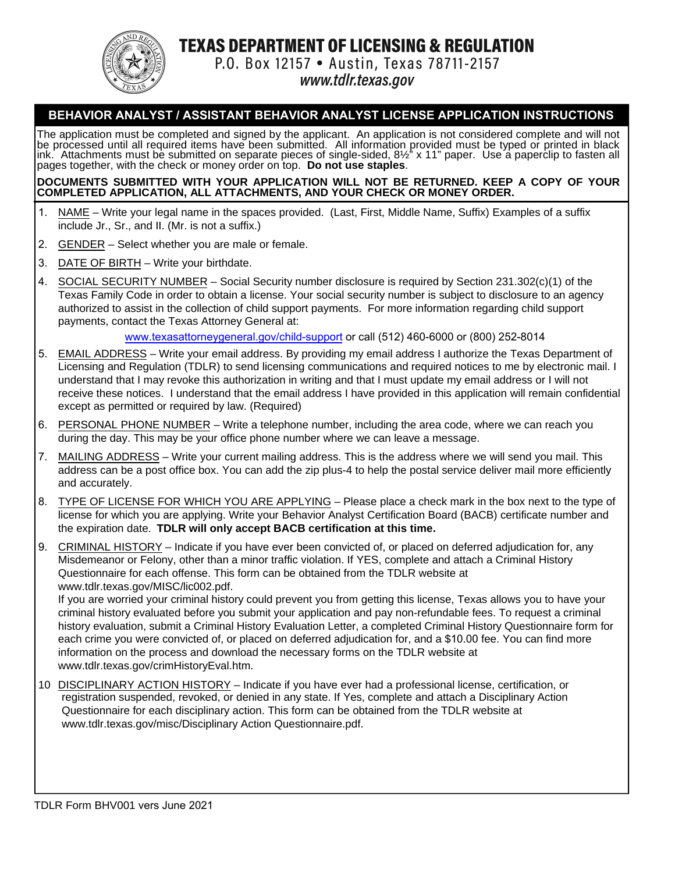

**TEXAS DEPARTMENT OF LICENSING & REGULATION** 

P.O. Box 12157 . Austin, Texas 78711-2157

www.tdlr.texas.gov

# **BEHAVIOR ANALYST / ASSISTANT BEHAVIOR ANALYST LICENSE APPLICATION INSTRUCTIONS**

The application must be completed and signed by the applicant. An application is not considered complete and will not<br>be processed until all required items have been submitted. All information provided must be typed or p ink. Attachments must be submitted on separate pieces of single-sided, 8½" x 11" paper. Use a paperclip to fasten all pages together, with the check or money order on top. **Do not use staples**.

#### **DOCUMENTS SUBMITTED WITH YOUR APPLICATION WILL NOT BE RETURNED. KEEP A COPY OF YOUR COMPLETED APPLICATION, ALL ATTACHMENTS, AND YOUR CHECK OR MONEY ORDER.**

- 1. NAME Write your legal name in the spaces provided. (Last, First, Middle Name, Suffix) Examples of a suffix include Jr., Sr., and II. (Mr. is not a suffix.)
- 2. GENDER Select whether you are male or female.
- 3. DATE OF BIRTH Write your birthdate.
- 4. SOCIAL SECURITY NUMBER Social Security number disclosure is required by Section 231.302(c)(1) of the Texas Family Code in order to obtain a license. Your social security number is subject to disclosure to an agency authorized to assist in the collection of child support payments. For more information regarding child support payments, contact the Texas Attorney General at:

www.texasattorneygeneral.gov/child-support or call (512) 460-6000 or (800) 252-8014

- 5. EMAIL ADDRESS Write your email address. By providing my email address I authorize the Texas Department of Licensing and Regulation (TDLR) to send licensing communications and required notices to me by electronic mail. I understand that I may revoke this authorization in writing and that I must update my email address or I will not receive these notices. I understand that the email address I have provided in this application will remain confidential except as permitted or required by law. (Required)
- 6. PERSONAL PHONE NUMBER Write a telephone number, including the area code, where we can reach you during the day. This may be your office phone number where we can leave a message.
- 7. MAILING ADDRESS Write your current mailing address. This is the address where we will send you mail. This address can be a post office box. You can add the zip plus-4 to help the postal service deliver mail more efficiently and accurately.
- 8. TYPE OF LICENSE FOR WHICH YOU ARE APPLYING Please place a check mark in the box next to the type of license for which you are applying. Write your Behavior Analyst Certification Board (BACB) certificate number and the expiration date. **TDLR will only accept BACB certification at this time.**
- 9. CRIMINAL HISTORY Indicate if you have ever been convicted of, or placed on deferred adjudication for, any Misdemeanor or Felony, other than a minor traffic violation. If YES, complete and attach a Criminal History Questionnaire for each offense. This form can be obtained from the TDLR website at www.tdlr.texas.gov/MISC/lic002.pdf.

If you are worried your criminal history could prevent you from getting this license, Texas allows you to have your criminal history evaluated before you submit your application and pay non-refundable fees. To request a criminal history evaluation, submit a Criminal History Evaluation Letter, a completed Criminal History Questionnaire form for each crime you were convicted of, or placed on deferred adjudication for, and a \$10.00 fee. You can find more information on the process and download the necessary forms on the TDLR website at www.tdlr.texas.gov/crimHistoryEval.htm.

10 DISCIPLINARY ACTION HISTORY – Indicate if you have ever had a professional license, certification, or registration suspended, revoked, or denied in any state. If Yes, complete and attach a Disciplinary Action Questionnaire for each disciplinary action. This form can be obtained from the TDLR website at www.tdlr.texas.gov/misc/Disciplinary Action Questionnaire.pdf.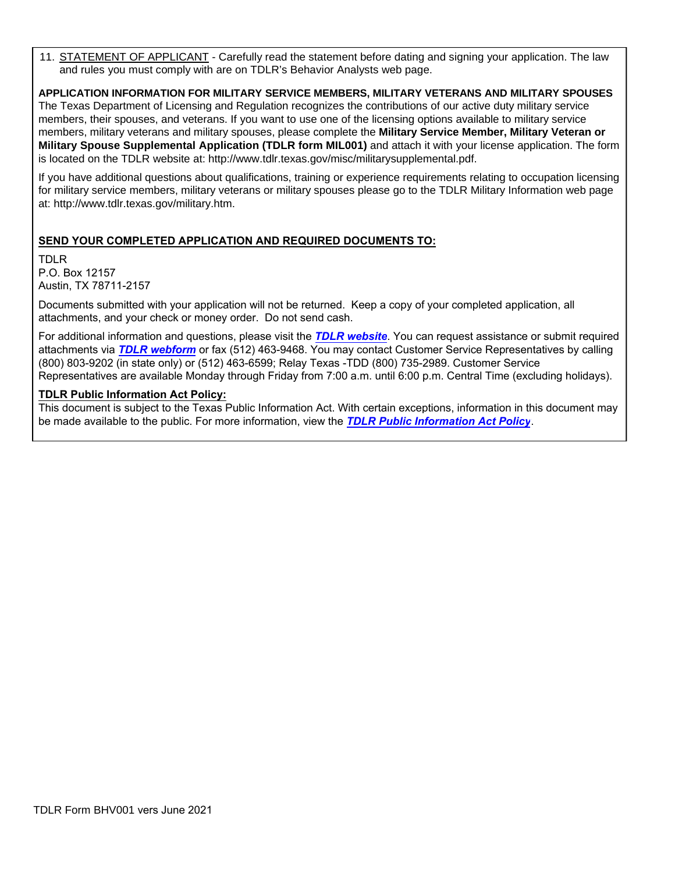11. STATEMENT OF APPLICANT - Carefully read the statement before dating and signing your application. The law and rules you must comply with are on TDLR's Behavior Analysts web page.

#### **APPLICATION INFORMATION FOR MILITARY SERVICE MEMBERS, MILITARY VETERANS AND MILITARY SPOUSES**

The Texas Department of Licensing and Regulation recognizes the contributions of our active duty military service members, their spouses, and veterans. If you want to use one of the licensing options available to military service members, military veterans and military spouses, please complete the **Military Service Member, Military Veteran or Military Spouse Supplemental Application (TDLR form MIL001)** and attach it with your license application. The form is located on the TDLR website at: http://www.tdlr.texas.gov/misc/militarysupplemental.pdf.

If you have additional questions about qualifications, training or experience requirements relating to occupation licensing for military service members, military veterans or military spouses please go to the TDLR Military Information web page at: http://www.tdlr.texas.gov/military.htm.

## **SEND YOUR COMPLETED APPLICATION AND REQUIRED DOCUMENTS TO:**

TDLR P.O. Box 12157 Austin, TX 78711-2157

Documents submitted with your application will not be returned. Keep a copy of your completed application, all attachments, and your check or money order. Do not send cash.

For additional information and questions, please visit the *[TDLR website](https://www.tdlr.texas.gov/)*. You can request assistance or submit required attachments via *[TDLR webform](https://www.tdlr.texas.gov/help/)* or fax (512) 463-9468. You may contact Customer Service Representatives by calling (800) 803-9202 (in state only) or (512) 463-6599; Relay Texas -TDD (800) 735-2989. Customer Service Representatives are available Monday through Friday from 7:00 a.m. until 6:00 p.m. Central Time (excluding holidays).

### **TDLR Public Information Act Policy:**

This document is subject to the Texas Public Information Act. With certain exceptions, information in this document may be made available to the public. For more information, view the *[TDLR Public Information Act Policy](https://www.tdlr.texas.gov/disclaimer.htm#PublicInfoPolicy)*.